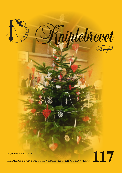

MEDLEMSBLAD FOR FORENINGEN KNIPLING I DANMARK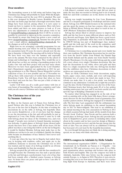# **Dear members**

The lacemaking season is in full swing and before long new Christmas lace things will probably be made. With this Kniplebrev a Christmas card for the year 2014 is attached. The card is this year designed by Benthe Larsen, Roskilde. Since the last time our home page has had a thorough renovation. Some things have been moved, among others it is now easier to found out how to register in the association. More tabs have been added and there are more pictures to look at. If you have any adjustments or comments then please write to me on formand@knipling-i-danmark.dk then it will be as soon as possible be corrected or taken up in the executive committee. You should be aware that Sonja has gotten a new e-mail address: design@knipling-i-danmark.dk. Susanne has also gotten a new e-mail address: skribent@knipling-i-danmark.dk. See the changes as well in the colophon.

Right now we are arranging a splendid programme for our annual meeting next year where we will be celebrating that the association turns 30 years. So reserve already now the day that is Saturday 14 March.The meeting will be held in Nyborg. We have been very busy over the summer and especially now in the autumn. We have been contacted by the school of design and technology in Copenhagen. They would like us to talk about lace as they are starting a lacemaking project in Sri Lanka. Our visit and their project will you hear more about. Moreover we have been approached by the Lord Chamberlain's Department regarded our application in 2012 for getting permission to se Her Majesty Queen Margrethe's private collection of lace. It is now possible and on 13 November we will go there with conservator of textile Katia Johansen from Rosenborg Castle. You will hear about that when we have been there and seen the lace. This was just a little of what we are working with.

Lastly I will wish you all a really good winter with lots of cosy hours of lacemaking. The executive committee and I also wish you all a merry Christmas and a happy New Year.

### **The Christmas tree of the year by Susanne Andersen**

In Måre in the Eastern part of Funen lives Solvejg Østergaard Nielsen who this year is behind the Christmas tree of the year at the lace fair in Slagelse. At the time of writing the decorations lie on the table at Solvejg, but hopefully when you receive Kniplebrevet, a lot of you have had the change to see the decorations at the fair and will probably be just as impressed as I was. One Friday afternoon I came by to talk with Solvejg about her ideas of the Christmas tree, and even though 17 people were invited to brunch Saturday morning I was welcome. A quick glance at Solvejg's home showed quite clearly that here lives a lace maker with all her heart. On the pillow was there a star string that will be on the fair in Slagelse; it would be finished Monday. Solvejg must make lace so the bobbins are red-hot to be sure it is finished. Quickly the dining table became an abundance of lace. Indeed, I have never seen anything like it.

A year ago when the lace fair in Slagelse had ended, there was, in keeping with tradition, coffee and apple pie to the exhibitors. Someone to decorate the Christmas tree in 2014 was wanted, and for many of us Solvejg would be an obvious choice and thankfully for that she accepted.

Solvejg accepted the job with awe and she has considered it at length because the Christmas tree has such a special place at the fair and Solvejg is a perfectionist. I saw a lot of lace that had been remade after a finished course because as Solvejg says: 'At home there are peace and quit so here I am able to concentrate better'.

Solvejg started making lace in January 1981. She was getting a folk dancer's costume sewn and her aunt did not want to make the lace that was needed so Solvejg had to do it herself. Both her and Erik's costumes are in the drawer in the living room.

Solvejg was taught lacemaking by Lise Lene Rasmussen and she is a frequent participant at workshops and fairs round about. Solvejg won 4000 Danish kroners in the national lotto and she spent the money on four lace courses. After an exhibition at Ørbæk library Solvejg was asked to teach in lace at AOF (Workers' Education Association).

Solvejg has always liked to attend courses to improve her skills and she has been in many different places such as Esbjerg, Bevtoft and Prague. Jytte Bjørk has been a good travelling companion, in particular when they went to Stokværket. In 1998-99 Solvejg was part of Kniplelauget (lace makers' guild) and she took part of the work in the committee until the guild was dissolved. She was, among other things, deputy chairwoman.

A Christmas tree is something special and every family has their own tradition. My Christmas decoration has its own history from the Jacob's ladder from Poland, the Danish flags from South Jutland and the plastic star from Daells Varehus (Daell's Warehouse). It is the same with Solvejg and she could tell a story about every single Christmas decoration. She has kept the decorations in red, white, silver and gold and then there is a single exception but only one. Solvejg has decided that the exhibitors who have Christmas decorations in their archives are represented on the tree.

There are birds, Christmas trees, bride decorations, angles, hearts, paper cones, stars, orchids, and every self-respecting Christmas tree of course has tinsel also made in lace. 'Everybody can make that. It is only a few pricks' was Solvejg's comment to my admiration. Certainly she is right but you have to get the idea. On the Christmas tree are also two of the beautiful Christmas hearts that Solvejg made 80 of to her golden wedding anniversary last year and if you look careful you will spot the logo of Knipling i Danmark on the tree.

No matter what Solvejg has engaged in on the side of her work as assisting wife on the farm: folk dance; flower arrangement; director for the local dilettante; head of gymnastics; lace teacher; pattern drawer, Solvejg has engaged in it wholeheartedly. The first time I got acquainted with the enthusiasm was when Solvejg made an exhibition to the annual lacemaking day in 2011 in Nørrevoldgade. This lead to an exhibition at the annual meeting in the civic association in Nyborg in 2012 on which occasion Solvejg had made all the models from Jana Novak's book 'Zodviac'. Jana Novak and her patterns hold a special place in Solvejg's heart. Solvejg has also provided patterns to Kniplebrevet, given courses in including Idria round about in the country and we have seen her design at Mønstertjenesten (the pattern service), and she has put energy into the work at fairs. You can always tell by an exhibition if Solvejg has been part of it, not least by the beautiful decorations.

So even though Solvejg does not think she is doing anything special, we are many who think otherwise.

## **OIDFA-congress in Adelaide by Helle Schultz**

The international organization OIDFA – L'Organisation Internationale de la Dentelle au Fuseau et à l'Aiguille – was founded in 1982 and convenes every two years. It is a bilingual organization where meetings and lectures take place in both French and English. This year the congress was held in Adelaide, Australia. Only once before was the congress held outside Europe, i.e. in Japan in 2010. Therefore it was extra interesting this year to see how many would sign up. It is a rather long flight from Europe to Australia, and there were fewer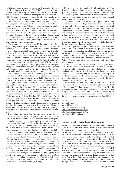participants than in previous years, but I absolutely think it worth the long trip. It was my first OIDFA congress, so I have no basis for comparing with earlier congresses, but for me it was a fantastic experience to participate. To participate in an OIDFA congress means meeting a lot of sweet people from most of the world, all sharing the same hobby. To meet others in the street with the same type of name tag "Oh, you are at the Congress" – "Oh, you are from Denmark" – How do you pronounce your name?" "Have you seen the beautiful exhibit at the town hall?" etc. Conversation started. Just wonderful.

July is a winter month in Adelaide, so I was anxious about the weather. On the coldest nights we had down to 2 degrees, but on the best of days the temperature reached 18 degrees. As in Denmark, in the winter, the temperature drops quickly, once the sun has set. It rained some, but always in short showers and it cleared up quickly afterwards.

The whole arrangement covered 13 days and started Sunday 13 July, when I participated in a wonderful bus tour to McLaren Vale, one of the many wine areas around Adelaide. The weather was cool but there was a beautiful blue sky. After a drive in the beautiful countryside, the day started with a visit to McLaren Vale and Fleurieu Visitor Information Centre. A local lace group had made a wonderful exhibit. Among other things there were some fantastic masks (pictures 1 and 2). We then visited three different wineries, Penny's Hill, Woodstock and Maxwell. We passed through gorgeous nature and past many wine fields, where beautiful wild flowers in a fine yellow colour spread among the brown, wintry wines. At Woodstock they had a small reservation with kangaroos that we were allowed in to see and even feed. A completely great day.

At the end of the winery tour we were taken to the school where seven different courses were held Monday through Thursday. We worked very intensively with the many different techniques. I had chosen a course in an Australian version of the English counterpart of our Tonder lace, i.e. Buckinghamshire. Both are fine tulle laces. We had a super clever instructor, Heather Billington. She had designed a series of hexagonal emblems with the different Australian national flowers. At the course we made the national flower Waratha from New South Wales (se picture 3 from Heather Billington's book "Floral Emblems of Australia in Point Ground Lace"). On the same photo you can see the flower on the handpainted bobbins made by Bridget Fairchild, who also taught one of the courses. She has developed her very own style of sewn lace. Picture 4 shows her beautiful sea horse. Dr. Margaret Morgan taught netted lace. She had made some wonderful miniatures (picture 5).

It was a fantastic course, but also very taxing. It was difficult to make room for a large lace pillow in my suitcase plus the almost 100 pairs of bobbins as well as miscellaneous lace paraphernalia needed, so I borrowed a pillow down there. That in turn meant that I had to finish my lace in order to return the pillow again. That again meant hard work till late every night in order to finish. Next time I will choose a course where I need fewer pairs or a course, where I only need to bring a needle!

The very congress days Friday to Sunday very much resemble our Lace Festival in Tonder. There were plenty of exhibits, discourses and stands. When using the expression lace in English, that includes not only bobbin lace, but everything "holes with a thread around". That means that besides bobbin lace, there were sewn lace, tatting, knitting, crochet, and embroidered objects. In one exhibit with many different types of European lace I saw both Danish Hedebo embroidery and the Norwegian Hardanger embroidery. The various regions of Australia had arranged exhibits with everything your little heart desires, and there was a country exhibit, where OIDFA member countries had the opportunity of showing their many beautiful and different items, like e.g. a beautiful piece of jewelry from the American exhibit (picture 6).

Of the many beautiful exhibits I will emphasize two. The first object to be seen in the first was two large lace kangaroos (picture7). Further into the same exhibit was a fantastic, large collection of genuine Maltese lace. A private collection, gathered by the Australian owner over the last 30 years. A small section to be seen in picture 8.

The second exhibition consisted of original dresses and accessories such as lace bags and shoes from Cavalcade of History and Fashion, which is a large collection of historical dresses and accessories from the 1700's and up till today. The large collection cannot be seen in any museum. The organization owning the collection therefore calls itself the museum without walls. Select parts of the collections are only exhibited at various events and actual parades. During the OIDFA congress the Lace in the Edwardian Era was shown. There were dresses and accessories from the period 1901-1910. Picture 9 shows a pair of lace shoes from about 1910.

Saturday night was the gala dinner at the Hilton Adelaide Hotel. The entertainment consisisted of a photoshow by the professional photographer David Haddy who showed his pictures from the congress. They gave cause to a lot of laughter!

A competition is part of any OIDFA congress. This time the task was a wine label, and a number of prizes were awarded. Picture 10 shows one of my favorites, albeit not one of the prize winners,

Tradition calls for various bus trips after the congress weekend. This year there were two five-day tours into the Australian nature and to various lace exhibitions. I chose to remain in Adelaide to see some of what I didn't see during the congress weekend. And then the long return trip. But filled up with good memories and a lot of business cards in the bag, hoping to reunite with the many sweet people at the next OIDFA congress in Slovenia in 2016, if not before.

June 2016 will be a very busy month for all lace makers, so put a big mark in your calendar now. First, the Lace Festival in Tonder June 3-5, then the annual Lace Festival in Idrija in Slovenia from June 17-19, and finally the next OIDA congress in Ljubljana, Slovenia from June 20 to July 1, consisting of courses in four cities, congress and bus tours. Really, there is the opportunity of plenty of lace experiences in June 2016.

Links:

www.oidfa.com www.oidfaadelaide.com http://www.thecavalcade.org http://www.kniplings-festival.dk http://festivalidrijskecipke.si/en/ http://www.oidfaljubljana.si

## **Karin Hoffritz – friend and chairwoman**

Yesterday I returned to Denmark and read Kniplebrevet. I had a blackout and first after a few minutes did I realise that Karen is no longer among us. I shall miss her.

Charlotte Rud brought Karen and I together in the 80s. We did not know each other even though we lived close by. There was not a day where we did not talk together. I wish that every lace maker knows that it was Karin who spend a lot of her spare time organising and founding a new lace teachers' association; later Karin actively put energy into organising the lace making education in Roskilde County. I was hired by Roskilde County to teach as it was the country who demanded that new lace making teachers had an education. But a real education as the teacher training college in Bruges still does not exist in Denmark. I convinced Kamp Larsen from the county's division of education that there was someone who had a comprehensive education in all types of lace. Therefore the right person to teach in many subjects. Karin's diploma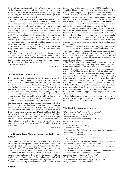from Belgium was the proof of that. We consulted the content of the education with several teachers among others Astrid Elton Hansen. Vibeke Ervø, who had a wide knowledge about lace making, was also very active. Then overwhelmingly many enrolments were sent to the county.

The idea of teaching was firstly UNDERSTANDING THE THREAD. Make the lace makers understand where the treads runs and ends. I have learned that myself in the school in Czechoslovakia, and therefore I am able to draw lace that was not part of the education. It gives security when drawing and making all types of lace. Every class was crammed with theory and drawing. The lace itself was several hours of homework. There were also classes in science of the colours, the basic principles of design, cultural history etc. After three years the county was no longer subsidised by the ministry. So there was no more money to the education of lace making teachers; the mistake was that the education was free.

I value Karin's personality. Even though Karin Hoffritz and I separated after 'the crossroads of life', we still talked with each other.

We have all lost a lace maker who really had theory, practice and energy to put lace making as a handicraft on equal terms with other textile arts and crafts. Among others Karin was in the beginning when the interest for lace started. Lace making flourishes now and there is a future for it.

Thank you, Karin,

*Jana Novak*

# **A vacation trip to Sri Lanka**

In connection with a fantastic trip to Sri Lanka, a trip to the town Galle, a town situated on the western south- peak of Sri Lanka and through many centuries an important harbor- and merchant town, was also included. Portugal, The Netherlands and England have all in turn ruled the town. The town is also known as Sri Lanka's ''Bobbinlace capital''. Unfortunately, when we arrived to Galle, the place that, according to our plan, was supposed to receive us and talk to us about their lace, was closed that day. But, our guide was still able to find a place where they could show us the lace they made there.

What a welcome! It turned out that the owners of the place had been participating in the Tønder bobbinlace festival in June 2013, where they had stand no.108, and they had enjoyed the fair a lot. Lace pieces were displayed and lots of chatting went on about our common passion for this beautiful craft. I gave them some prickings and Danish bobbins that I had brought with me, and they enjoyed that. Mr. M. L. M. Rila , the owner of the place, promised to write an article to Kniplebrevet. The article has arrived, and you can read it on another place in Kniplebrevet. Mr. Rila hopes that they will be able to participate again in Tønder festivalen 2016, and I look forward to the reunion.

*Lone Nielsen*

# **The Beeralu Lace Making Industry in Galle, Sri Lanka**

The Sinhala name for lace is 'Raenda' which is af Portuguese origin. The first Europeans to arrive in Sri Lanka in the 16th century (in 1505 to be exact), the Portuguese introduced this craft to Sri lanka. The women folk living in the south-western coast picked up the art and it gained popularity widely.

Pillowlace ar more popularly known as Beeralu lace making is a cottage industry in the south-western coastal belt from Ambalangoda, Dodanduwa, Galle, Habaraduwa and Weligama. It has come dawn from generation to generation.

Beeralu lace making is a delicate and intricate craft. It is an

**English 117/4**

industry where the craftspersons are 100% females. People watching this art af lace making are awed and fascinated by the expertise and patience displayed by these lace makers.

First, a stencil is prepared for the required design. The stencil is made on a cardboard using graph paper making the different knots used in lace-making. This is then fixed on to a padded wooden structure which is called the pillow. Depending on the design, quite a lot of wooden bobbins and pins are used and the lacemaker patiently commences her work.

At one time lace making was very popular among the womenfolk of this area as this also supplemented to the income of these families, most of whom were dependant on the fishing industry. The finished products were brought to the particular sales outlets from where they are sold to mostly foreigners. The finished products comprise af lace borders in different designs, collars, table mats, table runners or individual ornamental pieces.

One such sales outlet is the SCIA Shopping Centre at No. 73A Kandewatte Road, Galle, Sri Lanka established in 1977, where more value added products are turned out from these finished lace: Ladies night dresses with lace stitched on to them, table cloths with lace appliques and borders and also table cloths completely made out af lace in different sizes are some of these value added products.

The 2004 Boxing Day tsunami made a very big impact on the lace making industry. A vast majority of these lace makers being located in the coastal areas had to face the wrath of the tsunami. Everything was lost, lives and their equipments and raw materials. When aid started flowing in from all around the world, the Handball Club of Benzeim, Germany, made a very generous gesture. Through the SCIA Shopping Centre, Galle, they made a big contribution of thread solely for distribution among these lace makers. This enabled them to continue with the industry and these lace makers supply their finished products to SCIA Shopping Centre, Galle, even to this day. Apart from the supplies through these lace makers, SCIA Shopping Centre has its own lace makers who have been employed from its inception to show the appreciating foreign visitors the art af lace making.

Beeralu lace making is a time consuming process due to the intricacy of the design. The end result though is an exquisite, unique piece of finely crafted lace.

#### **The flock by Susanne Andersen**

*'The birds fly in flock – when they are enough How many women are needed for a flock? Where do women fly in flock? When is there enough women to fly in flock? Are they/we – the women who Flocks of snow that are teeming Over dikes tumbling? Yes tumbling and yet light as snowflakes – that we dream about. Where does the dream fly*

*And what do women dream about?*

*The woman who would more than that and returned home to the mud ditch.*

*The woman who polished the broom and flew to the Brocken? Wait there is a flock who went on Midsummer*

*The woman from the other side of the Earth who met a prince and got a kingdom.*

*The woman who, like Amanda, went to Copenhagen and wanted to be the chairwoman and a minister*

*And today is allowed to open for the flock.*

*Flock and folk depend on how the letters are placed*

*Man and women – can have a big flock of children*

*enough to populate the whole world'*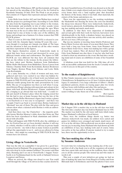Like that Anette Wilhelmsen, MP and Kerteminde girl begins her speech at the unveiling of the Flock at the Art festival in Kerminde Saturday 28 June 2014. The Flock is an art project that consists of 15 figures that represent and pay tribute to the woman.

Lotte Helle from Atelier A62 and Ann Walinn have worked with the project in a prolonged time. According to Lotte Helle the idea from the beginning was to pay tribute to the woman. In Kerteminde and probably in lots of other seaside towns the woman has had a special status through the ages. When the man was at the sea to either fish or sail the seven seas, the woman had to stay at home to take care of the children, the house and perhaps run a business. It is those women that THE FLOCK praises.

That it is now in 2014 that THE FLOCK is released is connected with the Amanda figure turning 60 years this year – even though it is perhaps not Amada you think of. The hope and the intention is that you should see all the other women and their expressions in the figures.

The figures themselves consist of frameworks made in metal that have been covered and decorated by seven very different female artists and craftswomen. The figures in THE FLOCK are very different but they have all common that they are the tribute to the woman. In the project the following have taken part: Bettina Andersen from København, Birthe Helbo Mortensen from Middelfart, Teresa Larsen from Odense, Chastine Helle from Kerteminde, Kirsten Brodersen from Tinglev, Kirsten Ploug from Odense and Lotte Helle from Kerteminde.

So a rainy Saturday we, a flock of women and men, were gathered and were very excited to see what was hidden behind the white. Evidently a lot of hard work was behind each woman in THE FLOCK and I was impressed by how so many different results sprang from the same presentation by Lotte Helle. The joy of recognition was there as well when I recognized Kirsten Ploug's playing with materials and colours in her figure with bark. Kirsten Brodersen's 'Emma' symbolised for me a longing to go abroad that was hold back – I could vividly put myself in Emma's place when the longing seized her but she had to stay at home because that was the fate of the woman. Birthe Helbo Mortensen's figure had I stolen a glance at on Facebook so it was easy to recognised – and there was a couple I had to go back to several times. Betina Andersen's 'Mermaid' was one of them. The play with the blue and green colours show what a talented artist Bettine is with an embroidery machine.

And then there was 'the Chatterbox' – the majority probably knows Merilyn Monroe's white dress that blows up. That dress has been reproduced in black aluminium and embroidered with silverfish.

What will happen with THE FLOCK after the exhibition at the Art Festival has not yet been decided, whether it will stay as a whole, whether it will be sold or will stay in private hands is not yet known – my wish is that as many women as possible will get the opportunity to see it – and you are allowed to bring the men – they might see something in THE FLOCK that the women have not noticed.

#### **Living village in Vesterboelle**

That was the title on a pamphlet I was given by a good lacemaking friend in Hadsund. The programme seemed exciting so why now drop by in the summer holidays? No sooner said than done, Henning and I set out to Vesterboelle 3 August. Vesterboelle is in Vesthimmerland (in the north of Jutland) between Loegstoer and Farsoe.

When we arrived, the village was closed to cars. You could stroll through the village or be driven in fine coaches drawn by

the most beautiful horses. Everybody was dressed as in the old days. I think every single citizen took part in the event. Outside every house there was a 'land register plan' that described the history of the house, when it was built, what materials, the owners of the house and pictures etc.

There was the opportunity to see the working workshops; the blacksmith was shoeing the horse; the corn was thrashed; the sheep were sheared. There were wickerwork, basketwork, wood turnery, glasswork, bookbinding, old needlework, weaving, lace making and much, much more.

In addition to that there were inspection of farmhands and servant girls with their tools for harvest, harvesters were wholeheartedly in the field, a drunken farmer was placed on the wooden horse; indeed there was one activity after another, all of it as it was a 100 years ago.

Big was my surprise at meeting Anna Scheby-Pedersen and Karen Marie Iversen who many of you most likely know. They were both a long way from home, Anne from Hemmet and Karen Marie from Greve. Anne was making lace with a group of local lace makers. They all showed their beautiful work. Gitte from Hadsund was also there; it was her who had been so kind to draw my attention to the event. She had also a working stand and of course an exhibition of some of her beautiful works.

A fabulous event that was held for the 10th time; all of it with an incredible enthusiasm from the locals. Certainly worth a visit if you are in this part of the country.

### **To the readers of Kniplebrevet:**

In May Tønder museum came to collect my legacy from Anna Christoffersen. In Kniplebrevet no. 61 have I written about the legacy. It contained a very large collection of Albert v. Huth's parchment patterns, drawn on tracing paper plus two lovely old lace boxes with bobbins and other bits and pieces.

If anyone is interested in seeing the patterns, Tønder museum is willing to take them out of the archives.

> *Best regards, Kirsten Wohlert Johansen*

#### **Market day as in the old days in Hadsund**

On 9 August 2014 a market day as in the old days was held. The first time a market day was held in Hadsund was in 1938. The market was held by the old water mill farm which today houses Hadsund's collection of local history.

There were the tradition things shown e.g. butter was churned, wickerwork was made, tin soldiers were casted and games for children were arranged and much, much more: all of it as in the old days. Old needlework was on show and great was my joy in meeting Anna Hadsund who had shown up with an exhibition of lace, lace making tools and of course Anna was active at the lace pillow. If anyone wanted to try to make lace, there was the opportunity to do so.

# **The lace-making day of the year by Susanne Andersen**

It is now time for evaluating the lace-making day of the year – and first of all a big thank you to all the organizers all around who have spent time and energy on the tradition, then a thank you to all the curious people who turned up and who make it worth it all.

This year a couple of new initiatives got going; we had an idea of making the same lace from Skagen to Gedser and from Blåvands huk to Ertholmene and from the photos I have seen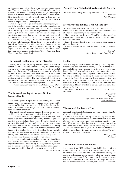on Facebook many of you have given our idea a good reception. This year it was the pattern Camelia given by our chairwoman Lone Nielsen and now you members get the change to tackle it. A Danish proverb says: 'When you hand the devil a little finger, he takes the whole hand' – and we do as well – we would like to have pictures of Camelia sent to the editors so they can be published in the magazine.

Even though we try to get every event in the magazine, there are still a couple of events that do not make it, perhaps because there is a new coordinator and that person is not aware of the possibility to have it in the magazine and here we need your help. We will like to ask you to send us a message about events that take place that we are not aware of, then we will try to have them in the magazine next year so as many as possible have the change to go. We are so privileged to have our own 'press photographer' Helga Houtved who a lot of you know from Facebook. She offers that we can look through her photos and have them in the magazine before they are put up anyway else. We are very grateful for that. This year we have, therefore, some special photos from Greve, Køge and Tune. You can see them on the back.

# **The Annual Bobbinlace - day in Stenløse**

We do, due to tradition, set up an exhibition in H.E.P. Huset in Stenløse on The Annual Bobbinlace - day. We all met, bright and early in the morning, and were able to transform the hall into a nice show room. On display were samples from Tønder to modern lace. Exhibited was what lace has to offer anno 2014. We had a good amount of visitors that seemed happy and content with the exhibition. The guests also took their time to look closely at the lace, to have a chat over a cup of coffee and also to look at the lacebooks and magazines available.

> *Good lace-greetings from the laceladies of H.E.P.Huset. Mona-Lise Pedersen*

# **The lace-making day of the year 2014 in Nørrevoldgade**

After several years of open house and holding of the lacemaking day of the year in Nørrevoldgade there should not be any butterflies left in my stomach – I think that the day they have flown away and no longer are there is the day when I have been there too much.

This year I was extra excited because Funen is by now covered by many events so would people still turn up?

It takes some time to put up posters, clean, and then there has to be set aside a Saturday. But looking back upon previous events it is worth it. Saturday morning 10 o'clock the sign was up, the coffee smelt delicious and the lace pillows were set out. It knocked on the door and that continued the most of the day. The trip to Ireland was talked about so vividly that I feel I was taken by the hand and was on the trip, ideas for new articles and patterns in the magazine were put on the table, a little lace making was done, read books, looked in trade magazines, a little shopping was done and then coffee was drunk.

It is by now a tradition that the lace making girls from Ringe and Langeskov end their lace-making day of the year by visiting Nørrevoldgade. To see the joy in the eyes of the organizers and the participants clearly shows that the lace-making day of the year is a tradition that will not come to an end easily.

*Susanne Andersen*

# **Pictures from Fælleshuset Vedsted, 6500 Vojens.**

We had a real nice day and many interested visitors.

*Sincerely Jette Thomsen*

### **Here are some pictures from our lace-day**

We were 10-12 ladies working on lace, and interested people could have a look and ask questions about our projects. They also had the opportunity to try by themselves.

The interest was big. Between 50 and 70 people stopped in, studied our finished pieces, drank a cup of coffee and had a home baked cookie.

Finely I will add that 5-6 new lace makers have joined us after our lace day.

It was a wonderful day, and we would be happy to do it again.

> *Sincerely Conni Skov, lacelady from Gjerrild.*

### **Hello,**

Also at Tunegarn was there held the yearly lacemaking day. 7 hardworking lace makers was making lace all day long to the great delight for themselves and the visitors who came by during the day. 3 of them had taken up the inspiration of the year, and the hardworking Jytte Kluge had at home made the first two and spend the day mounting the third one. The other two went at the flacon the whole day. There was set up two 'test pillows' so those interested could try take the first step in the wonderful world of lacemaking. The nice customer and lace maker Helga Houtved visited us as well and took some fine photos of the day.

We have attached a few photos, all taken by Helga Houtved.

> *Best regards Tunegarn Represented by Anne Marie Turking www.tunegarn.dk*

## **The Annual Bobbinlace Day**

As usual, The Annual Bobbinlace Day was celebrated in Butikstorvet in Hadsund.

8 happy lace-ladies showed up with their displays and lace pillows. Many visitors admired the nice exhibition. Most people were locals, but there were also tourists on vacation in our area. We appreciated that they took their time to visit with us and tell us a little about what they do where they come from. The 4 hours we were present, was over in no time due to all the chatting about lace with unknown and known faces. We look forward to do it again next year.

> *Kniplepigerne Hadsund*

## **The Annual Laceday in Greve.**

5 members from KIT exhibited our bobbinlace in Greve Midtby Center on August 30. 2014, The Annual Lace day . We also made lace, talked and told about the lace on display. We sat on a little square, where people walked through to trains and busses and the draft from automatic doors and air vents, made it a cold event. But we came well through the day. We had, in our advertisement in 'Sydkysten', added the sentence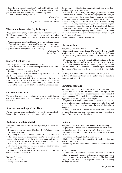(''learn how to make bobbinlace''), and had 2 pillows ready for that purpose. It was time for some teaching, and the few people that tried, seemed interested in learning more.

All in all, we had a very nice day.

*Best wishes KIT Vice president Karen Marie Iversen*

### **The annual lacemaking day in Broager**

We, 8 ladies, were sitting in the cafeteria of Super Brugsen (a Danish supermarket) from 10 am to 2 pm and had a very nice day. Quite a lot stopped by to look and people were very positive.

We make lace every other Monday in even-numbered weeks in Forsamlingsgaarden in the assembly where we in the winter months can gather 18-20 ladies and because of the lacemaking day 3 new ladies have joined us, so it is lovely.

> *Best regards, Agnete Brandt*

### **Star or Christmas tree**

Idea, design and execution: Anneliese Schröder

The publication is made with kindly permission from Deutscher Klöppelverband

Equipment: 12 pairs of K80 or DMC

Beginning: The lace begins immediately above from star to star. See diagram and pricking.

Ending: The pairs are tied with a reef knot or in the way you prefer. The lace is starched before you take it off. Then it is folded in the middle of the tips and the top is gathered so the edges on the outer edge are the tips inside the Christmas tree.

## **Christmas card 2014**

We have discovered a mistake in the diagram to the Christmas card 2014 so therefore a new diagram is printed that is a pricking as well.

## **A correction to the pricking 116a**

We have printed a new pricking to 116a (see the pattern sheet) because the pricking was not clear on the pricking sheet.

#### **Barbora's valentine's heart**

Idea, design and execution: Barbora Spadova, the Czech Republic

Equipment: Anchor Mercer Crochet – 100" (W) and 8 pairs DMC goldthread (G)

Beginning: You start with making the narrow part first with 6 white pairs. See on the diagram for when to put the pairs and when to take off again. Then the wide part is made and you put the pairs in the top of the heart. They put from left to right: 1 W  $+ 1 G + 1 W$ , 1 W + 1 G, 1 W + 1 G, 2 W and 1 G.

The shown twists apply for the whole lace. Do not twist from linen stitch to half stitch in this lace.

Ending: the pairs are tied with a reef knot and the lace is starched before it is taken off.

Barbora Špádová, Plánická 795 339 01, Klatovy, Czech Republic Barbora designed the hart as a declaration of love to her husband on their 2 years anniversary.

Barbora Špádová (\*1989) I am studying Czech and German and literature in Prague, I like music, playing the flute and, of course, lacemaking. I have been doing it since my childhood, when there was a lace-making circle for children at our school in Strazov, a tiny town in southwest Bohemia. There is a strong bobbin lace-making tradition, too. Currently, I like making my own images for bobbin lace and work with coloured threads as well as the traditional materials. In 2014 I started a bobbin lace circle, which meets regularly once a week in a tea-room in my town, Klatovy. It has currently more than 10 members, of which there are 2 men.

www.facebook.com/barboraspadova

## **Christmas heart**

Idea, design and execution: Solveig Nielsen

Equipment: 6 pairs linen thread 28/2 or 35/2. If desired gold or silver thread can be used in the edge. To the handle 7 pairs are used. Here gold or silver thread can also be used in the handle.

Beginning: You begin in the middle of the heart marked with a star in the diagram and in the pricking follow the arrows. Turn stitch is made at the circle in the diagram. In the middle plait with Picot is made between the bobbin tapes. Crochet in the process of the lace. The shown twists apply for the whole lace.

Ending: the threads are tied at the end of the tape. The work is starched before it is taken off the pillow and the handle is mounted on the heart.

### **Christmas star tape**

Idea, design and execution: Lone Nielsen, Stubbekøbing

Execution: 19 pairs 35/2 in linen thread. The tape on the picture is made in 60/2 but it is rather opened so therefore 35/2 is recommended. The tape is 1.5 meters long and if you want a bigger bow then the tape should be longer.

Beginning: You begin in the tip and the pairs are placed until the width has been reached. The edge is in cloth stitch and twist and the bottom is the bottom of the star. Made as shown on figure 1.

Ending: Either tie it or finish it with small braids that are sewn into the lace. The tape can with advantage be starched a little before it is taken off the pillow.

## **Camelia**

Idea, design and execution: Lone Nielsen, Stubbekøbing

Equipment: 23 pairs Bockens linen thread 60/2. When mounting linen batiste or linen are used with 14 threads per cm.

Beginning: See the diagram for where and how many pairs are put on

The shown twists apply for the whole lace.

Ending: Ether finish with an auxiliary thread or in the way that you find practical.

Mounting: the lace is mounted on the linen with rolled whip seams.

#### *Rolled whip seams:*

Tack the lace onto the linen. The seams are sewn from above and downwards in horizontal and vertical groups with 2 seams in each group – sewn from the same place. The horizontal groups are sewn over the lace edge and the vertical ones along the edge, see figure 1.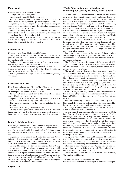## **Paper cone**

Idea and execution: Lis Vester, Erslev

Design: Sonja Andersen, Ikast

Equipment: 24 pairs 35/2 in linen thread

The paper cone is made as a dolly. The paper cone is produced when following the description during the mounting.

Beginning: The lace is begun in top left corner and the pairs are put on in a slanting line until the width has been reached. The handle is made separately.

Ending: The dolly is crocheted together and the pairs are thereafter tied or the lace can with advantage be ended with an auxiliary thread. The handle is tied.

Mounting: The dolly is sewn together on the two sides from \* to \*. Thereby a paper cone is made. The handle is mounted in the middle of each of the other two sides.

## **Emblem 2014**

Idea and design: Lone Nielsen, Stubbekøbing

Equipment: 18 pars of linen 60/2 for the crown of the hat, 16 pairs of linen 60/2 for the brim, 1 bobbin of myrtle thread and 18 pairs linen 60/2 for the top

Beginning: the separate parts are started where you want to. For the top of the hat the pairs are put in a plait.

Ending: The lace is crocheted together and is tied. The lace is starched before it is taken off the pillow. Then the different parts are sewn together so the hat is made.

*You might choose to design your own hat, then the pricking xxx is used.*

### **Christmas tree 2013**

Idea, design and execution: Kirsten Skov, Slangerup

Equipment: linen thread  $35/2$ ,  $40/2$ ,  $60/3$  or  $60/2$  depending on which pricking you use to make lace on.

To part 1 20 pairs are used, part 2: 28 pairs, part 3: 34 pairs, part 4: 40 pairs and part 5: 46 pairs

Beginning: It is started with 6 loosely worked pairs at \* to edge of the linen cloth. Fix 1 pair at 1 and 2 pairs at 2.

The star in the middle of the lace, see the detailed drawing at the star.

The shown twists apply to the whole lace.

Ending: All five parts are finished with a svensk lærredslukning. See part 5 as it is the bottom of every part whereby a linen cloth edge is made the whole way around on each part.

## **Linda's Christmas heart**

Idea, design and execution: Linda Lillenes, Kongsted Norway Equipment: For heart no. 1 8 pairs of 35/2 linen thread are used, for heart no. 2 and 3 7 pairs of 35/2 or 40/2 linen thread are used and for heart no. 4 5 pairs of 35/2 linen thread are used.

Beginning: common for all the heart is that they are started in the top. There are diagrams for all of them but if you want to make the hearts differently in the middle then you can make cloth stitch or half stitch in the individual heart.

Ending: The ends of the threads are crocheted in first loop and they are tied. If you choose to decorate the hearts with beads then you can crochet the hearts together in the in first loop make with 2 pairs a small braid and on one of the pairs a bead is placed and a braid is made again. Continue until you do not want any more beads or braids with beads. What solution you choose is up to you. The lace can with advantage be starched before it is taken off the pillow.

## **Would Non-continuous lacemaking be something for you? by Veslemøy Bech-Nielsen**

I am one, I think, of few lace makers in Denmark who almost only work with non-continuous lace, also called cut-thread - or part-lace. I started learning Duchesse, then Withof, and, for many years now, enjoy Yvonne Scheele-Kerkhof' s classes of this kind of lace. Besides teaching the Floral Bedfordshire lace, she also teaches Withof, which derives from Duchesse. She has, however, also further-developed these laces. Some of us, still with the base in Duchesse and Withof, use any technique in order to achieve the effects we want. We are, with her guidance, able to make almost anything into beautiful lace. This is big fun and a great satisfaction for creative minds.

The prickings for cut-thread laces are often not dots, but lines, and you place the pins yourself. The thickness of your thread can vary - within a certain limit, of course – the thinner the thread, the more pairs you need, and the more variation you can achieve with the effects you might like. Pairs are added and taken out as needed.

Part- lace is characterized by the making of single motives and joining them by plaits or grounds of different kinds. Some of them use needle lace as part of the lace, like Rosaline Perlée and Brussels Duchesse.

The Duchesse Lace was developed in Belgium around 1850. It got it's name after Marie Henriette, Duchesse of Brabant and wife of king Leopold II of Belgium, because she loved and often wore this kind of lace.

The development of Duchesse lace was based upon the Bruges Flower Lace, but it is a much finer lace. It has developed a little differently in different parts of Belgium and The Netherlands, but is mostly characterized by the use of fine threads, the motives basically worked in linen stitch, accentuated by half stitch a. o, the use of a gimp pair, and the whole lace is often edged with picots. The motives used are mostly flowers, different leaves, scrolls and 'berries', but sometimes also butterflies or other little creatures.

Elza de Kreijger, the lady known all over the lace-world as Sister Judith, is the person to thank for the development of the beautiful Withof Lace. She was born in 1913 and died, 100 y.o. in 2014.

She started learning the Sluis Duchesse Lace, 13 y.o. in the Sluis Lace School, and was a student there for many years. Her interest was always to try to give more depth to her lace.

At the age of 24 she entered the convent of Withof, became a nun and took the name Sister Judith.

As she started teaching lace after her retirement in 1978, her efforts to develop a more sculptured lace took off. She encouraged her students to help. Yvonne Scheele-Kerkhof was one of these students. In Duchesse Lace, the flowers are next to each other. Sister Judith started to put them behind each other and at the same time to make the lines in her lace more flowing. After the development of the "rolled edges", the three-dimensional effect of her lace really took form. By carefully planning with which sequence to work the different parts of the pattern and rolling the edges every time, you really get a nice depth to your lace.

At a point, Sister Judith's lace had become so different from the Duchesse laces, that she had to give it a name, and she named it after the convent she belonged to, Withof. She continued to work on improving her special lace until she died.

This lace is characterized by the stylized flowers and the flowing lines, joined by light, airy grounds. The motives have a gimp pair and all the edges are rolled.

Other cut-thread laces are for ex. Brussels Lace, Honiton, Chrysanthe and Florence.

#### *An interview with Yvonne Scheele-Kerkhof*

One of the most excellent places for you to learn the techniques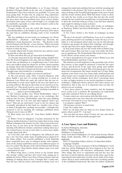of Withof and Floral Bedfordshire, is at Yvonne Scheele-Kerkhof's Paragon Studio in the nice city of Apeldoorn, The Netherlands. I have been with her for, probably 7-8 years, and keep going back. Yvonne has, by using her long experience with different types of lace, and by her curiosity as to how lace has been done and lace-problems have been solved, further developed some types of lace and brought it to a height that is remarkable, especially at a time when woman's crafts in the West is declining rapidly.

Yvonne teaches all over the world. She hosted a class in Floral Bedfordshire at the Tønder Lace Festival in 2010, where she also had an exhibition showing some of her wonderful work.

She has published several books on techniques for Floral Bedfordshire -, Duchesse - and Withof lace. Recently she published a book showing her own lace – 'The Beauty of the Orient Painted with Thread - a Lace Journey'. When you study the detail of the lace in this book, you can only admire the perfection of what she does.

I recently talked with Yvonne about her lace and her teaching, and this is what she told me:

Q: How and when did you get interested in bobbinlace?

A: I became interested in lace through antique English bobbins. We lived in England at the time and our children went to a craft class on Saturdays in a neighboring town. I took them there and walked along the shops for an hour, always passing an antique shop with beautifully decorated , wooden sticks in the window. Only later I found out that they were lace bobbins. I bought some and enrolled for a workshop.

Q: What kind of lace caught your interest and how?

A: My real interest came when I learned Duchesse with Sister Judith. I was part of a group inviting her to teach us Duchesse Lace. When she came, she told us that she was experimenting to create more depth in the lace and asked us to go along with her. We had no idea what we let ourselves in for, and said 'yes'. This slowly lead to a new type of lace, Withof. A wonderful lace, of which I thought that 'anything is possible in lace................unless it proved impossible'.

I also learned another lace, Floral Bedfordshire when I met Barbara Underwood who came to my workshops. She told me that 'her lace', Bedfordshire, takes the same thinking as Withof: 'what do I do now and what happens when I get there?' That got me interested, I went to her for classes and eventually specialized in that kind too. Another type of lace of which I thought that 'anything was possible', a thought that occurred to me by studying the catalogue published about Thomas Lester's laces in 2002.

Q: What made you 'stray off ' from Sister Judith's Withof Lace?

A: When I lived in Singapore I became fascinated by the Chinese mythical pictures. I started to make them in lace, using Withof techniques, but found it too flat. I then started decorating the lace, as one does in the Floral Bedfordshire, experimenting with different stitches, sometimes making them up. I also worked layers on top of each other to create more depth, to make them look alive.

Q: I feel that your time in Singapore has influenced your lace a lot. You have made many beautiful pieces inspired by the Asian culture. You recently published a book depicting these wonderful laces, also in enlarged details, with explanations of the Asiatic symbolism used in your different pieces of lace. It is called 'The Beauty of the Orient Painted with Thread - a Lace Journey'. How did the Asiatic culture come to be such a fascination for you?

A: When living there, I wrote letters to my friends about this 'strange' culture and they ofter wrote back, urging me to publish my letters. When I saw those Chinese pictures and was thinking of making them in lace, I thought that I could combine the lace with my letters, and started working. Later on I

changed my mind and combined the lace with the meaning and symbolism in the pictures. My book is meant to be a book to enjoy, looking at the beautiful photographs of the laces I made and the stories written down. With this book I want to show, not only the lace world, as we know this, but also the world outside the lace world, how beautiful lace is. I particularly want to show the world the intricacy of lace. Lace has been admired and sought for during so many centuries.

Q: You have also written many other books on techniques in Duchesse, Withof and floral Bedfordshire. I have, and use, them myself.

A: Yes, I have written a few books on technique on these laces.

 The lace I do myself, I call Duchesse Lace as it is worked in parts, allowing myself to do anything to make the lace as I visualize it. I am fascinated about what one can do with threads. Centuries ago people developed that technique and throughout the ages they have made changes and built on to it.

Q: You teach classes all over the world, both in Dutch, English and German. But your base is your own studio, the Paragon in Apeldoorn, The Netherlands. What kind of lace do you teach? Please, tell me about your classes.

A: I have specialized in two types of laces: Withof Lace and Floral Bedfordshire and these I teach.

My students are both beginners in the particular type of lace they choose, or they might be advanced. I teach the two types of lace, and all levels, in the same class, giving each student individual attention as needed. This environment gives my students lots of inspiration. My classes mostly last 5-6 days. Many students come back every year. Some make small projects and others larger ones. I usually start them off on small patterns to teach them various techniques. Soon after I encourage them to take on bigger projects as one needs repetition to master a technique. I might give them a pattern, but if they choose one themselves, that is fine too. It is important that you like the pattern you are working.

I have given classes in many countries, and the language never seems to be a problem. We lacemakers do understand each other and know what we are talking about!

Yvonne ended our conversation with this little story:

A woman said to me once when she was looking through my new book: 'You must be a very rich woman'

I, in surprise, replied: 'Why?'

'Oh, because you have so much time'

I said: 'No, I make time'

Don't we all make time for what we love doing? Some do sports, others watch TV – I do lace!

 You can find out more about Yvonne, her lace and classes on her web side: www.lacestudio-paragon.com

#### **A Lace Space. Lace and Basketry**

by Sylvia Piddington, Australia

ISBN: 9 780646 920443

Publishers: A Teapot Book

Order from Sylvia Piddington, 5A, Glenrowan Avenue, Myrtle Bank, South Australia, 5064 or mail: sylviapiddington@hotmail.com

Price: 25 Australian dollars, delivery 10 Australian dollars Language: English

The books is a series of pictures of Sylvia Piddington's work with lace. Sylvia Piddington has been inspired in her lace by portraits, landscapes, cell structures, mathematic forms and other things. She loves to experiment and feel her way; she just does it and let humour and focus on life play a part in her experiments and exploration of what can be made of her inspiration. Sylvia is most comfortable when she is working outside of the established framework. She does not follow traditional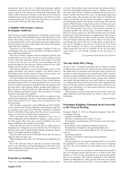lacemaking where the use of workshop drawings, applied techniques and materials is tied down, and where we as lace makers often are tied and do not think non-traditionally. The book is full of pictures of Sylvia's work that are far from the traditional lacemaking. Beautiful pictures and with very little accompanying text. In the end of the book there are pictures of lace done with bark and other materials.

# **A humble wish became a success by Susanne Andersen**

After having attended Kniplemessen in Slagelse, I got curious about the history behind Kniplemessen, how did the idea come about, who made it come true, at what time did it develop to an association with a board, and other questions popped up in my head. It did not matter who I asked, the answer was always, 'talk with Dora Lindberg.'

Therefore, on a hot summer morning, I decided to take my car, Madame Grå, on a ride towards Borre on Møn in order to meet with Dora Lindberg.

Dora lives in Borre together with her husband, Erland, who steady hauled out box after box for us to have things to look at. Dora does not make lace anymore, as her sight is not what it used to be. The joy over all the good experiences she has gained through her lace universe, almost stands in front of her sadness, not to be able to do lace any more.

Dora has an education as a pre-school teacher, and is a selftaught lacemaker and pattern designer. An elderly man at Peterlykkecentret got her started on lace, and her project was nothing less than a scarf of 90 pairs of bobbins.

Dora got fascinated by bobbinlace real fast, and attended different classes, between other, by Karen Trend, Astrid Hansen and Helene Schou. Dora's real big passion for lace can be seen in the beautiful vests, jackets and shawls she has designed. She has also made table runners, doilies, handkerchief-edgesa.s.o. She was part of the Eternelle lace club together with for ex. Kirsten Tinglef and Hanne Jensen. They are about 8-10 ladies that meet and make lace together.

They get the idea in 1986 that they will try to make an exhibition in Gundsømagle in order to show what bobbinlace is all about. They counted on 25 visitors, but 50 turned up, so they felt successful.

They decide to repeat the event in Ølstykke in 1987. Exhibiters are Jana Novak, Kirsten Vallentin, Astrid Hansen and others. Again it was a success. In 1989 they exhibited at 'Prinsens Hotel' in Roskilde. Dora replies that this was not a good experience, as it was too crowded and too much noise.

She is not quite sure when they decided to move over to Nørrevangskolen and Nordhallen in Slagelse, a place perfect for their needs. Here they have good possibilities for workshops, exhibitions and stands for merchants.

Down the line the basis for the fair that we today know as Kniplemessen I Slagelse, was laid down by the five ladies behind the idea, Agnete Skøtt, Kirsten Wohler Johansen, Hanne Jensen, Åse Skytt and Dora Lindberg.

The five ladies step back in 1995 and decide that the time is right for others to take over.

What happened after this, you will find out in Kniplebrevet no.120.

We in the editorial office would like to receive some lines about your experiences around Kniplemessen, like the workshop, exhibitions you liked, the piece of lace you could not live without and much more.

## **From idea to handling**

I have for a long time dreamed about making a top in a mod-

ern style. The decision to get started came this spring, where I went out and bought graph paper, effect – and linen yarn. The fact that I did not have a pattern available, did not stop me. I found a usable top in my closet, put it on the graph paper and traced the shape. The big plus was that I knew it would fit me when I would take the top off the lace-pillow. I worked a bit on dividing the pattern into fitting vertical strips. The top was made in 'Wild Ground', using banana-yarn for effect (yes, yarn spun out of banana-fibers) linen- and pearl-yarn. I decided to use the 'Wild ground', but many of the modern grounds are certainly useable. The bottom edge is worked double, so the half of it can be turned over the thread-ends and sewn down. In this way all the thread-ends are tugged away. The sleeve is lifted a little with help of a narrow piece of suede, with motherof-pearl-buttons attached, that can be taken out and in this way change the look of the top. I made pleats on the sides of the top, as I thought it was too loose in the back. It has been fun and I learned a lot. There were problems that had to be solved along the way, but as I worked on the top, new ideas came along, so I am already working on the next piece of clothing.

*Lace-greetings from Mona-Lise Petersen*

## **The fair: Fritid 2014, Viborg**

We have had 3 wonderful and busy days in Viborg. Around 13.000 persons visited the fair, which was more than satisfying. We thank all of our members that take their time to stop by to say hello, to chat about the newest trends and to show vacation pictures of which bobbinlace has been a part. We love meeting you all out there. Extraordinary many people, both children and adults, that had made lace once and wanted to start again, or young people that wanted to learn the craft, approached us this year. We had a pillow available, where they could try it out. Many took advantage of it and realized that lace was not as difficult to do as it looks.

This pleased us, and we hope that we were able to give the right inspiration and information for them to start to make bobbinlace.

*Astrid and Bente*

### **Foreningen Knipling i Danmark invites herewith to the General Meeting,**

Saturday March 14. 2015, in Borgerforeningenes Hus, Nørrevoldgade, Nyborg.

Agenda according to rules:

Election of chairman and counter of votes.

Presentation and discussion of the board's oral and written annual report.

Presentation of the audited accounts for approval.

Presentation of budget for the upcoming fiscal year.

Determination of the membership fee for the upcoming fiscal year.

Incoming proposals.

Election of members of the board and substitutes.

Other items.

Agenda points for the general meeting, shall be received by the president in written or by e-mail at the latest on January 1st, 2015. See the kolophon for mail address and e-mail address.

If you wish to run for a position on the board, the president has to be informed about this by letter or e-mail no later than January 1st, 2015. A short description of yourself and a photo have to be included. This will be published in the February number of Kniplebrevet. Only persons that have been members of the association for at least 1 year can apply for being